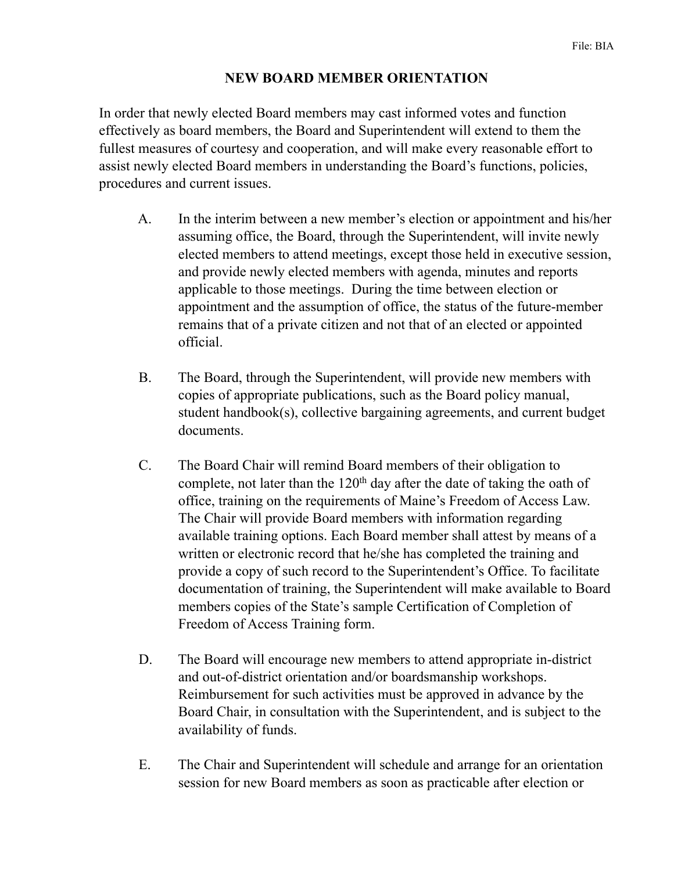## **NEW BOARD MEMBER ORIENTATION**

In order that newly elected Board members may cast informed votes and function effectively as board members, the Board and Superintendent will extend to them the fullest measures of courtesy and cooperation, and will make every reasonable effort to assist newly elected Board members in understanding the Board's functions, policies, procedures and current issues.

- A. In the interim between a new member's election or appointment and his/her assuming office, the Board, through the Superintendent, will invite newly elected members to attend meetings, except those held in executive session, and provide newly elected members with agenda, minutes and reports applicable to those meetings. During the time between election or appointment and the assumption of office, the status of the future-member remains that of a private citizen and not that of an elected or appointed official.
- B. The Board, through the Superintendent, will provide new members with copies of appropriate publications, such as the Board policy manual, student handbook(s), collective bargaining agreements, and current budget documents.
- C. The Board Chair will remind Board members of their obligation to complete, not later than the  $120<sup>th</sup>$  day after the date of taking the oath of office, training on the requirements of Maine's Freedom of Access Law. The Chair will provide Board members with information regarding available training options. Each Board member shall attest by means of a written or electronic record that he/she has completed the training and provide a copy of such record to the Superintendent's Office. To facilitate documentation of training, the Superintendent will make available to Board members copies of the State's sample Certification of Completion of Freedom of Access Training form.
- D. The Board will encourage new members to attend appropriate in-district and out-of-district orientation and/or boardsmanship workshops. Reimbursement for such activities must be approved in advance by the Board Chair, in consultation with the Superintendent, and is subject to the availability of funds.
- E. The Chair and Superintendent will schedule and arrange for an orientation session for new Board members as soon as practicable after election or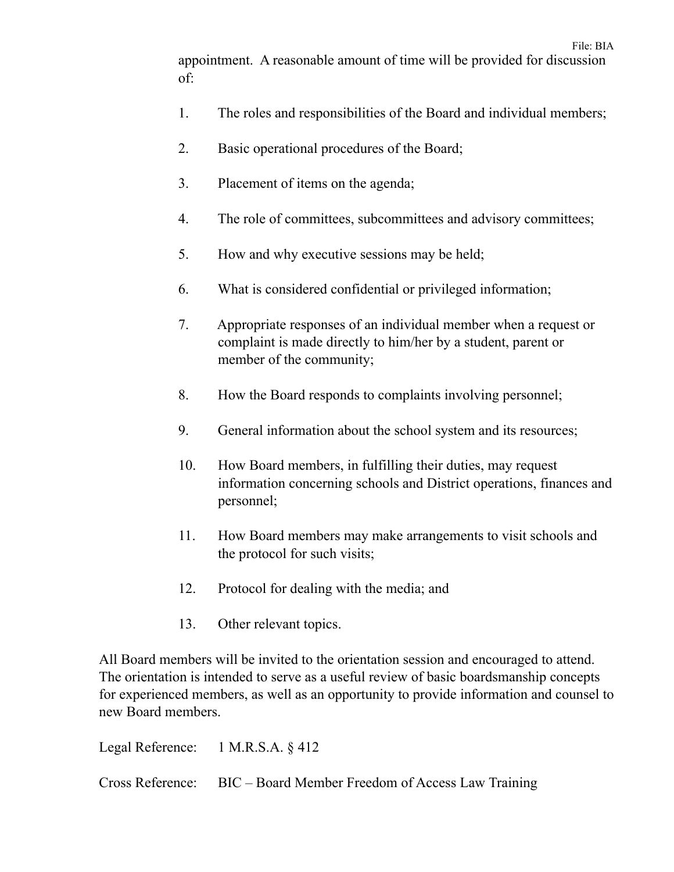appointment. A reasonable amount of time will be provided for discussion of:

- 1. The roles and responsibilities of the Board and individual members;
- 2. Basic operational procedures of the Board;
- 3. Placement of items on the agenda;
- 4. The role of committees, subcommittees and advisory committees;
- 5. How and why executive sessions may be held;
- 6. What is considered confidential or privileged information;
- 7. Appropriate responses of an individual member when a request or complaint is made directly to him/her by a student, parent or member of the community;
- 8. How the Board responds to complaints involving personnel;
- 9. General information about the school system and its resources;
- 10. How Board members, in fulfilling their duties, may request information concerning schools and District operations, finances and personnel;
- 11. How Board members may make arrangements to visit schools and the protocol for such visits;
- 12. Protocol for dealing with the media; and
- 13. Other relevant topics.

All Board members will be invited to the orientation session and encouraged to attend. The orientation is intended to serve as a useful review of basic boardsmanship concepts for experienced members, as well as an opportunity to provide information and counsel to new Board members.

Legal Reference: 1 M.R.S.A. § 412

Cross Reference: BIC – Board Member Freedom of Access Law Training